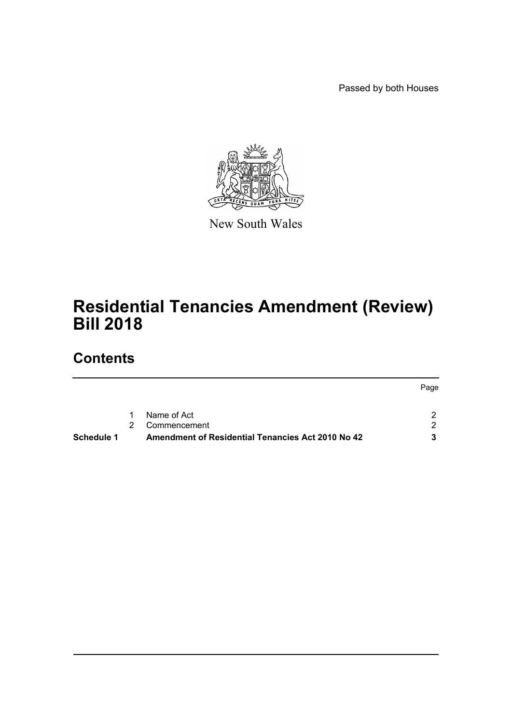Passed by both Houses



New South Wales

# **Residential Tenancies Amendment (Review) Bill 2018**

# **Contents**

|                   |   |                                                   | Page |
|-------------------|---|---------------------------------------------------|------|
|                   | 1 | Name of Act                                       |      |
|                   | 2 | Commencement                                      | റ    |
| <b>Schedule 1</b> |   | Amendment of Residential Tenancies Act 2010 No 42 |      |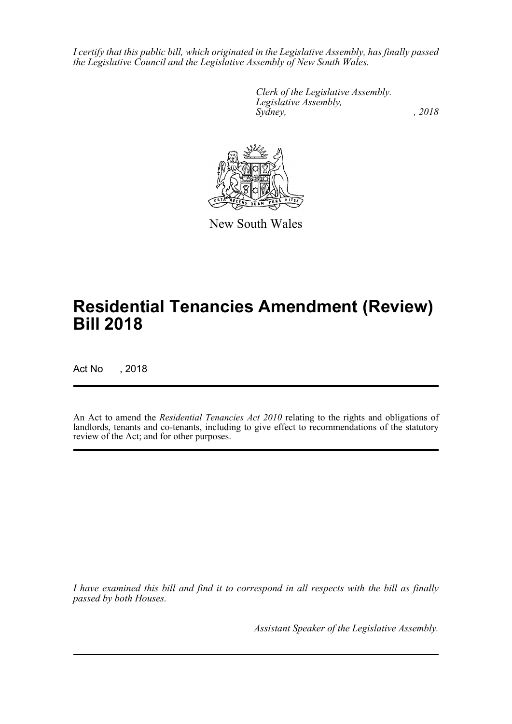*I certify that this public bill, which originated in the Legislative Assembly, has finally passed the Legislative Council and the Legislative Assembly of New South Wales.*

> *Clerk of the Legislative Assembly. Legislative Assembly, Sydney, , 2018*



New South Wales

# **Residential Tenancies Amendment (Review) Bill 2018**

Act No , 2018

An Act to amend the *Residential Tenancies Act 2010* relating to the rights and obligations of landlords, tenants and co-tenants, including to give effect to recommendations of the statutory review of the Act; and for other purposes.

*I have examined this bill and find it to correspond in all respects with the bill as finally passed by both Houses.*

*Assistant Speaker of the Legislative Assembly.*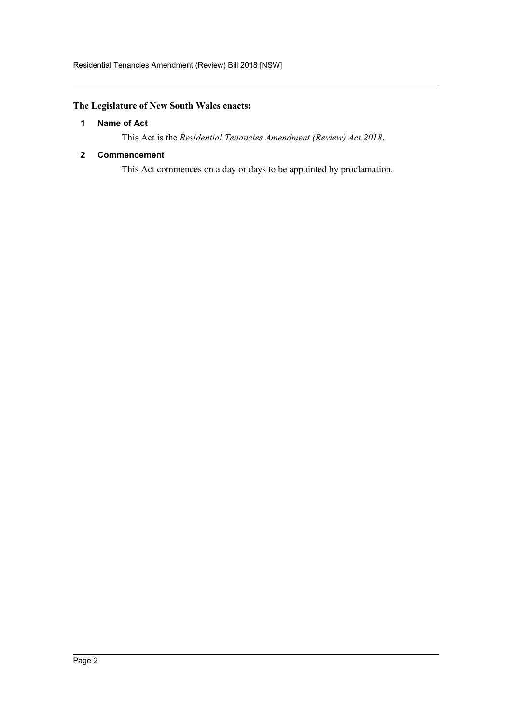## <span id="page-2-0"></span>**The Legislature of New South Wales enacts:**

## **1 Name of Act**

This Act is the *Residential Tenancies Amendment (Review) Act 2018*.

## <span id="page-2-1"></span>**2 Commencement**

This Act commences on a day or days to be appointed by proclamation.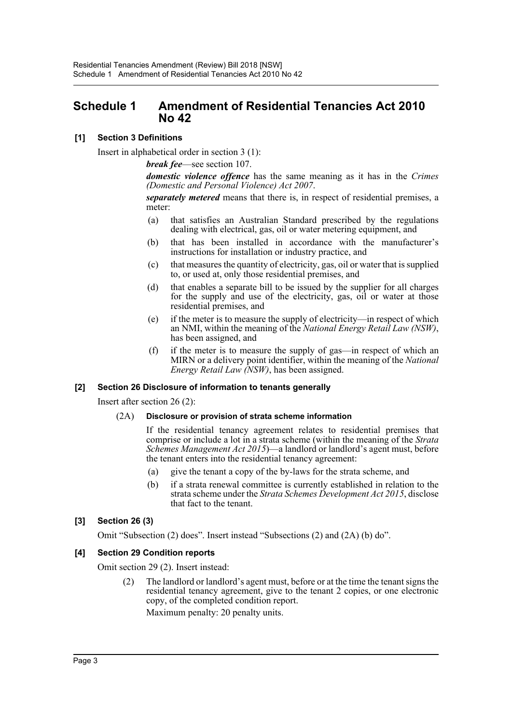## <span id="page-3-0"></span>**Schedule 1 Amendment of Residential Tenancies Act 2010 No 42**

## **[1] Section 3 Definitions**

Insert in alphabetical order in section 3 (1):

*break fee*—see section 107.

*domestic violence offence* has the same meaning as it has in the *Crimes (Domestic and Personal Violence) Act 2007*.

*separately metered* means that there is, in respect of residential premises, a meter:

- (a) that satisfies an Australian Standard prescribed by the regulations dealing with electrical, gas, oil or water metering equipment, and
- (b) that has been installed in accordance with the manufacturer's instructions for installation or industry practice, and
- (c) that measures the quantity of electricity, gas, oil or water that is supplied to, or used at, only those residential premises, and
- (d) that enables a separate bill to be issued by the supplier for all charges for the supply and use of the electricity, gas, oil or water at those residential premises, and
- (e) if the meter is to measure the supply of electricity—in respect of which an NMI, within the meaning of the *National Energy Retail Law (NSW)*, has been assigned, and
- (f) if the meter is to measure the supply of gas—in respect of which an MIRN or a delivery point identifier, within the meaning of the *National Energy Retail Law (NSW)*, has been assigned.

## **[2] Section 26 Disclosure of information to tenants generally**

Insert after section 26 (2):

#### (2A) **Disclosure or provision of strata scheme information**

If the residential tenancy agreement relates to residential premises that comprise or include a lot in a strata scheme (within the meaning of the *Strata Schemes Management Act 2015*)—a landlord or landlord's agent must, before the tenant enters into the residential tenancy agreement:

- (a) give the tenant a copy of the by-laws for the strata scheme, and
- (b) if a strata renewal committee is currently established in relation to the strata scheme under the *Strata Schemes Development Act 2015*, disclose that fact to the tenant.

## **[3] Section 26 (3)**

Omit "Subsection (2) does". Insert instead "Subsections (2) and (2A) (b) do".

#### **[4] Section 29 Condition reports**

Omit section 29 (2). Insert instead:

(2) The landlord or landlord's agent must, before or at the time the tenant signs the residential tenancy agreement, give to the tenant 2 copies, or one electronic copy, of the completed condition report.

Maximum penalty: 20 penalty units.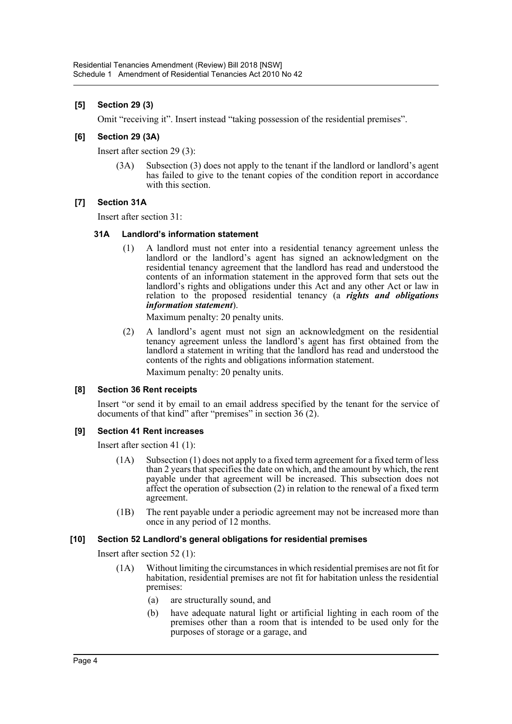## **[5] Section 29 (3)**

Omit "receiving it". Insert instead "taking possession of the residential premises".

#### **[6] Section 29 (3A)**

Insert after section 29 (3):

(3A) Subsection (3) does not apply to the tenant if the landlord or landlord's agent has failed to give to the tenant copies of the condition report in accordance with this section.

#### **[7] Section 31A**

Insert after section 31:

#### **31A Landlord's information statement**

(1) A landlord must not enter into a residential tenancy agreement unless the landlord or the landlord's agent has signed an acknowledgment on the residential tenancy agreement that the landlord has read and understood the contents of an information statement in the approved form that sets out the landlord's rights and obligations under this Act and any other Act or law in relation to the proposed residential tenancy (a *rights and obligations information statement*).

Maximum penalty: 20 penalty units.

(2) A landlord's agent must not sign an acknowledgment on the residential tenancy agreement unless the landlord's agent has first obtained from the landlord a statement in writing that the landlord has read and understood the contents of the rights and obligations information statement. Maximum penalty: 20 penalty units.

#### **[8] Section 36 Rent receipts**

Insert "or send it by email to an email address specified by the tenant for the service of documents of that kind" after "premises" in section 36 (2).

#### **[9] Section 41 Rent increases**

Insert after section 41 (1):

- (1A) Subsection (1) does not apply to a fixed term agreement for a fixed term of less than 2 years that specifies the date on which, and the amount by which, the rent payable under that agreement will be increased. This subsection does not affect the operation of subsection  $(2)$  in relation to the renewal of a fixed term agreement.
- (1B) The rent payable under a periodic agreement may not be increased more than once in any period of 12 months.

#### **[10] Section 52 Landlord's general obligations for residential premises**

Insert after section 52 (1):

- (1A) Without limiting the circumstances in which residential premises are not fit for habitation, residential premises are not fit for habitation unless the residential premises:
	- (a) are structurally sound, and
	- (b) have adequate natural light or artificial lighting in each room of the premises other than a room that is intended to be used only for the purposes of storage or a garage, and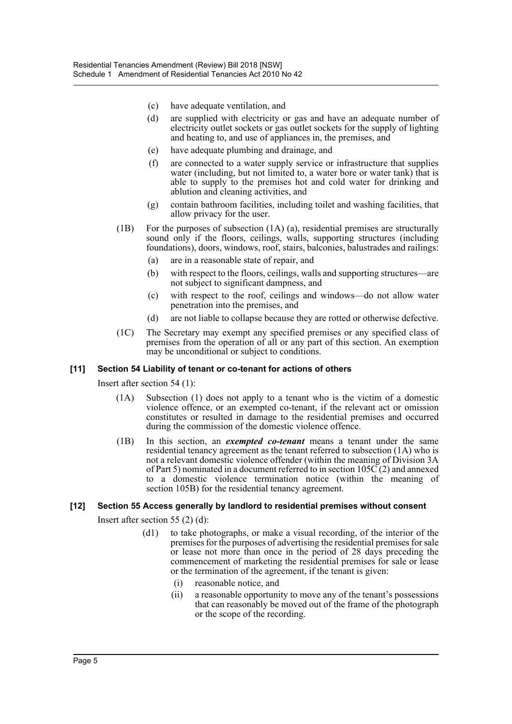- (c) have adequate ventilation, and
- (d) are supplied with electricity or gas and have an adequate number of electricity outlet sockets or gas outlet sockets for the supply of lighting and heating to, and use of appliances in, the premises, and
- (e) have adequate plumbing and drainage, and
- (f) are connected to a water supply service or infrastructure that supplies water (including, but not limited to, a water bore or water tank) that is able to supply to the premises hot and cold water for drinking and ablution and cleaning activities, and
- (g) contain bathroom facilities, including toilet and washing facilities, that allow privacy for the user.
- (1B) For the purposes of subsection (1A) (a), residential premises are structurally sound only if the floors, ceilings, walls, supporting structures (including foundations), doors, windows, roof, stairs, balconies, balustrades and railings:
	- (a) are in a reasonable state of repair, and
	- (b) with respect to the floors, ceilings, walls and supporting structures—are not subject to significant dampness, and
	- (c) with respect to the roof, ceilings and windows—do not allow water penetration into the premises, and
	- (d) are not liable to collapse because they are rotted or otherwise defective.
- (1C) The Secretary may exempt any specified premises or any specified class of premises from the operation of all or any part of this section. An exemption may be unconditional or subject to conditions.

#### **[11] Section 54 Liability of tenant or co-tenant for actions of others**

Insert after section 54 (1):

- (1A) Subsection (1) does not apply to a tenant who is the victim of a domestic violence offence, or an exempted co-tenant, if the relevant act or omission constitutes or resulted in damage to the residential premises and occurred during the commission of the domestic violence offence.
- (1B) In this section, an *exempted co-tenant* means a tenant under the same residential tenancy agreement as the tenant referred to subsection (1A) who is not a relevant domestic violence offender (within the meaning of Division 3A of Part 5) nominated in a document referred to in section 105C (2) and annexed to a domestic violence termination notice (within the meaning of section 105B) for the residential tenancy agreement.

#### **[12] Section 55 Access generally by landlord to residential premises without consent**

Insert after section 55 (2) (d):

- (d1) to take photographs, or make a visual recording, of the interior of the premises for the purposes of advertising the residential premises for sale or lease not more than once in the period of 28 days preceding the commencement of marketing the residential premises for sale or lease or the termination of the agreement, if the tenant is given:
	- (i) reasonable notice, and
	- (ii) a reasonable opportunity to move any of the tenant's possessions that can reasonably be moved out of the frame of the photograph or the scope of the recording.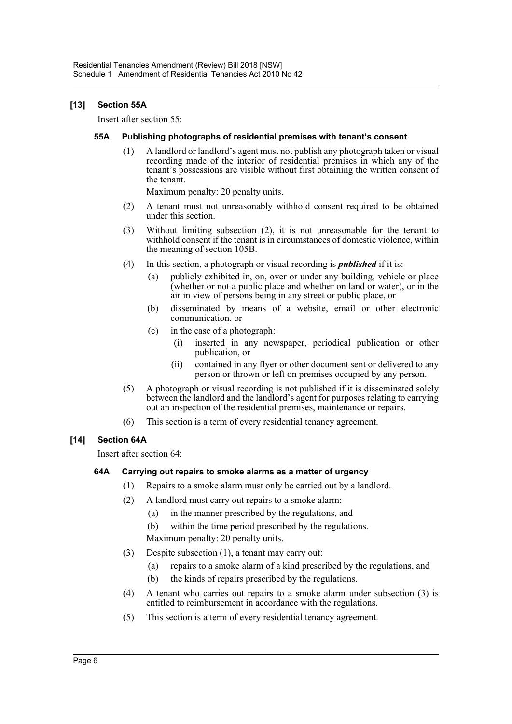## **[13] Section 55A**

Insert after section 55:

#### **55A Publishing photographs of residential premises with tenant's consent**

(1) A landlord or landlord's agent must not publish any photograph taken or visual recording made of the interior of residential premises in which any of the tenant's possessions are visible without first obtaining the written consent of the tenant.

Maximum penalty: 20 penalty units.

- (2) A tenant must not unreasonably withhold consent required to be obtained under this section.
- (3) Without limiting subsection (2), it is not unreasonable for the tenant to withhold consent if the tenant is in circumstances of domestic violence, within the meaning of section 105B.
- (4) In this section, a photograph or visual recording is *published* if it is:
	- (a) publicly exhibited in, on, over or under any building, vehicle or place (whether or not a public place and whether on land or water), or in the air in view of persons being in any street or public place, or
	- (b) disseminated by means of a website, email or other electronic communication, or
	- (c) in the case of a photograph:
		- (i) inserted in any newspaper, periodical publication or other publication, or
		- (ii) contained in any flyer or other document sent or delivered to any person or thrown or left on premises occupied by any person.
- (5) A photograph or visual recording is not published if it is disseminated solely between the landlord and the landlord's agent for purposes relating to carrying out an inspection of the residential premises, maintenance or repairs.
- (6) This section is a term of every residential tenancy agreement.

## **[14] Section 64A**

Insert after section 64:

#### **64A Carrying out repairs to smoke alarms as a matter of urgency**

- (1) Repairs to a smoke alarm must only be carried out by a landlord.
- (2) A landlord must carry out repairs to a smoke alarm:
	- (a) in the manner prescribed by the regulations, and
	- (b) within the time period prescribed by the regulations.

Maximum penalty: 20 penalty units.

- (3) Despite subsection (1), a tenant may carry out:
	- (a) repairs to a smoke alarm of a kind prescribed by the regulations, and
	- (b) the kinds of repairs prescribed by the regulations.
- (4) A tenant who carries out repairs to a smoke alarm under subsection (3) is entitled to reimbursement in accordance with the regulations.
- (5) This section is a term of every residential tenancy agreement.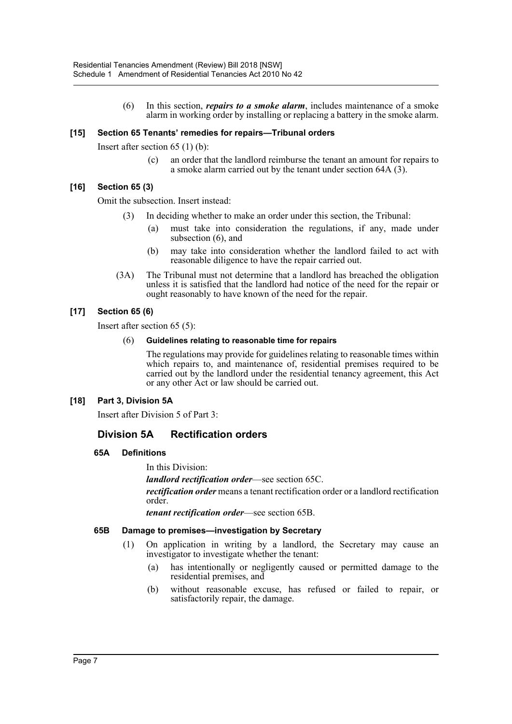(6) In this section, *repairs to a smoke alarm*, includes maintenance of a smoke alarm in working order by installing or replacing a battery in the smoke alarm.

#### **[15] Section 65 Tenants' remedies for repairs—Tribunal orders**

Insert after section 65 (1) (b):

(c) an order that the landlord reimburse the tenant an amount for repairs to a smoke alarm carried out by the tenant under section 64A (3).

## **[16] Section 65 (3)**

Omit the subsection. Insert instead:

- (3) In deciding whether to make an order under this section, the Tribunal:
	- (a) must take into consideration the regulations, if any, made under subsection (6), and
	- (b) may take into consideration whether the landlord failed to act with reasonable diligence to have the repair carried out.
- (3A) The Tribunal must not determine that a landlord has breached the obligation unless it is satisfied that the landlord had notice of the need for the repair or ought reasonably to have known of the need for the repair.

## **[17] Section 65 (6)**

Insert after section 65 (5):

#### (6) **Guidelines relating to reasonable time for repairs**

The regulations may provide for guidelines relating to reasonable times within which repairs to, and maintenance of, residential premises required to be carried out by the landlord under the residential tenancy agreement, this Act or any other Act or law should be carried out.

## **[18] Part 3, Division 5A**

Insert after Division 5 of Part 3:

## **Division 5A Rectification orders**

#### **65A Definitions**

In this Division:

*landlord rectification order*—see section 65C.

*rectification order* means a tenant rectification order or a landlord rectification order.

*tenant rectification order*—see section 65B.

#### **65B Damage to premises—investigation by Secretary**

- (1) On application in writing by a landlord, the Secretary may cause an investigator to investigate whether the tenant:
	- (a) has intentionally or negligently caused or permitted damage to the residential premises, and
	- (b) without reasonable excuse, has refused or failed to repair, or satisfactorily repair, the damage.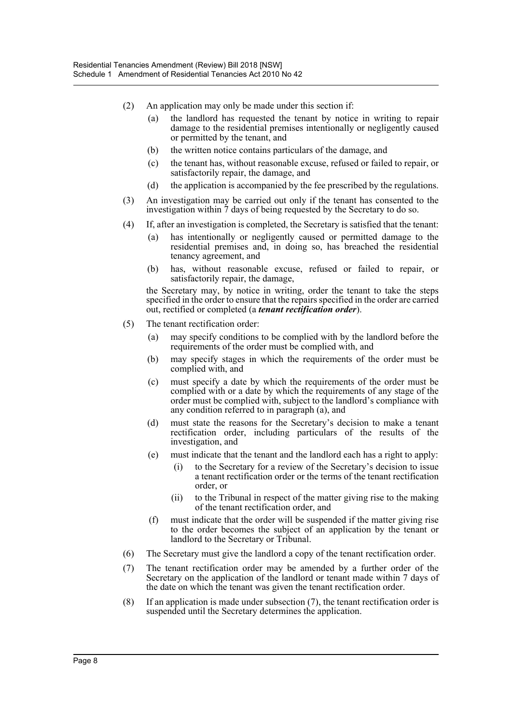- (2) An application may only be made under this section if:
	- (a) the landlord has requested the tenant by notice in writing to repair damage to the residential premises intentionally or negligently caused or permitted by the tenant, and
	- (b) the written notice contains particulars of the damage, and
	- (c) the tenant has, without reasonable excuse, refused or failed to repair, or satisfactorily repair, the damage, and
	- (d) the application is accompanied by the fee prescribed by the regulations.
- (3) An investigation may be carried out only if the tenant has consented to the investigation within 7 days of being requested by the Secretary to do so.
- (4) If, after an investigation is completed, the Secretary is satisfied that the tenant:
	- (a) has intentionally or negligently caused or permitted damage to the residential premises and, in doing so, has breached the residential tenancy agreement, and
	- (b) has, without reasonable excuse, refused or failed to repair, or satisfactorily repair, the damage,

the Secretary may, by notice in writing, order the tenant to take the steps specified in the order to ensure that the repairs specified in the order are carried out, rectified or completed (a *tenant rectification order*).

- (5) The tenant rectification order:
	- (a) may specify conditions to be complied with by the landlord before the requirements of the order must be complied with, and
	- (b) may specify stages in which the requirements of the order must be complied with, and
	- (c) must specify a date by which the requirements of the order must be complied with or a date by which the requirements of any stage of the order must be complied with, subject to the landlord's compliance with any condition referred to in paragraph (a), and
	- (d) must state the reasons for the Secretary's decision to make a tenant rectification order, including particulars of the results of the investigation, and
	- (e) must indicate that the tenant and the landlord each has a right to apply:
		- to the Secretary for a review of the Secretary's decision to issue a tenant rectification order or the terms of the tenant rectification order, or
		- (ii) to the Tribunal in respect of the matter giving rise to the making of the tenant rectification order, and
	- (f) must indicate that the order will be suspended if the matter giving rise to the order becomes the subject of an application by the tenant or landlord to the Secretary or Tribunal.
- (6) The Secretary must give the landlord a copy of the tenant rectification order.
- (7) The tenant rectification order may be amended by a further order of the Secretary on the application of the landlord or tenant made within 7 days of the date on which the tenant was given the tenant rectification order.
- (8) If an application is made under subsection (7), the tenant rectification order is suspended until the Secretary determines the application.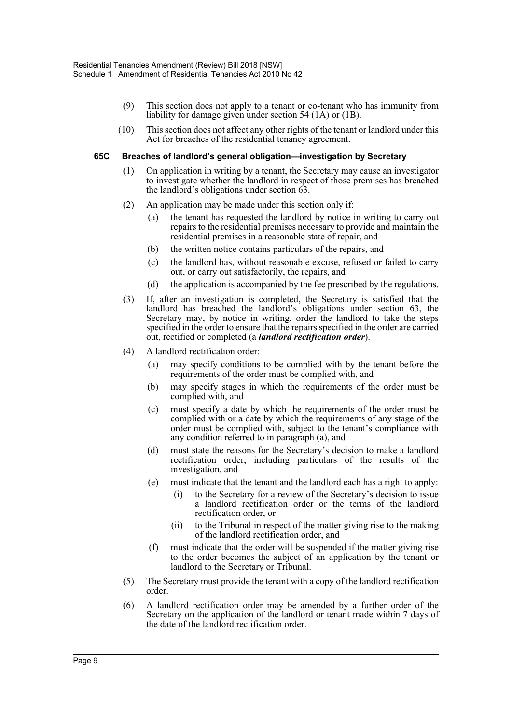- (9) This section does not apply to a tenant or co-tenant who has immunity from liability for damage given under section 54 (1A) or (1B).
- (10) This section does not affect any other rights of the tenant or landlord under this Act for breaches of the residential tenancy agreement.

#### **65C Breaches of landlord's general obligation—investigation by Secretary**

- (1) On application in writing by a tenant, the Secretary may cause an investigator to investigate whether the landlord in respect of those premises has breached the landlord's obligations under section 63.
- (2) An application may be made under this section only if:
	- (a) the tenant has requested the landlord by notice in writing to carry out repairs to the residential premises necessary to provide and maintain the residential premises in a reasonable state of repair, and
	- (b) the written notice contains particulars of the repairs, and
	- (c) the landlord has, without reasonable excuse, refused or failed to carry out, or carry out satisfactorily, the repairs, and
	- (d) the application is accompanied by the fee prescribed by the regulations.
- (3) If, after an investigation is completed, the Secretary is satisfied that the landlord has breached the landlord's obligations under section 63, the Secretary may, by notice in writing, order the landlord to take the steps specified in the order to ensure that the repairs specified in the order are carried out, rectified or completed (a *landlord rectification order*).
- (4) A landlord rectification order:
	- (a) may specify conditions to be complied with by the tenant before the requirements of the order must be complied with, and
	- (b) may specify stages in which the requirements of the order must be complied with, and
	- (c) must specify a date by which the requirements of the order must be complied with or a date by which the requirements of any stage of the order must be complied with, subject to the tenant's compliance with any condition referred to in paragraph (a), and
	- (d) must state the reasons for the Secretary's decision to make a landlord rectification order, including particulars of the results of the investigation, and
	- (e) must indicate that the tenant and the landlord each has a right to apply:
		- (i) to the Secretary for a review of the Secretary's decision to issue a landlord rectification order or the terms of the landlord rectification order, or
		- (ii) to the Tribunal in respect of the matter giving rise to the making of the landlord rectification order, and
	- (f) must indicate that the order will be suspended if the matter giving rise to the order becomes the subject of an application by the tenant or landlord to the Secretary or Tribunal.
- (5) The Secretary must provide the tenant with a copy of the landlord rectification order.
- (6) A landlord rectification order may be amended by a further order of the Secretary on the application of the landlord or tenant made within 7 days of the date of the landlord rectification order.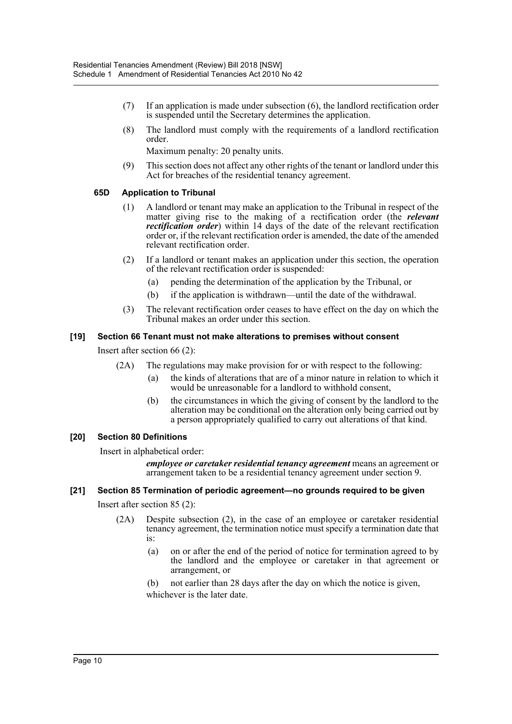- (7) If an application is made under subsection (6), the landlord rectification order is suspended until the Secretary determines the application.
- (8) The landlord must comply with the requirements of a landlord rectification order.

Maximum penalty: 20 penalty units.

(9) This section does not affect any other rights of the tenant or landlord under this Act for breaches of the residential tenancy agreement.

#### **65D Application to Tribunal**

- (1) A landlord or tenant may make an application to the Tribunal in respect of the matter giving rise to the making of a rectification order (the *relevant rectification order*) within 14 days of the date of the relevant rectification order or, if the relevant rectification order is amended, the date of the amended relevant rectification order.
- (2) If a landlord or tenant makes an application under this section, the operation of the relevant rectification order is suspended:
	- (a) pending the determination of the application by the Tribunal, or
	- (b) if the application is withdrawn—until the date of the withdrawal.
- (3) The relevant rectification order ceases to have effect on the day on which the Tribunal makes an order under this section.

#### **[19] Section 66 Tenant must not make alterations to premises without consent**

Insert after section 66 (2):

- (2A) The regulations may make provision for or with respect to the following:
	- (a) the kinds of alterations that are of a minor nature in relation to which it would be unreasonable for a landlord to withhold consent,
	- (b) the circumstances in which the giving of consent by the landlord to the alteration may be conditional on the alteration only being carried out by a person appropriately qualified to carry out alterations of that kind.

## **[20] Section 80 Definitions**

Insert in alphabetical order:

*employee or caretaker residential tenancy agreement* means an agreement or arrangement taken to be a residential tenancy agreement under section 9.

#### **[21] Section 85 Termination of periodic agreement—no grounds required to be given**

Insert after section 85 (2):

- (2A) Despite subsection (2), in the case of an employee or caretaker residential tenancy agreement, the termination notice must specify a termination date that is:
	- (a) on or after the end of the period of notice for termination agreed to by the landlord and the employee or caretaker in that agreement or arrangement, or
	- (b) not earlier than 28 days after the day on which the notice is given, whichever is the later date.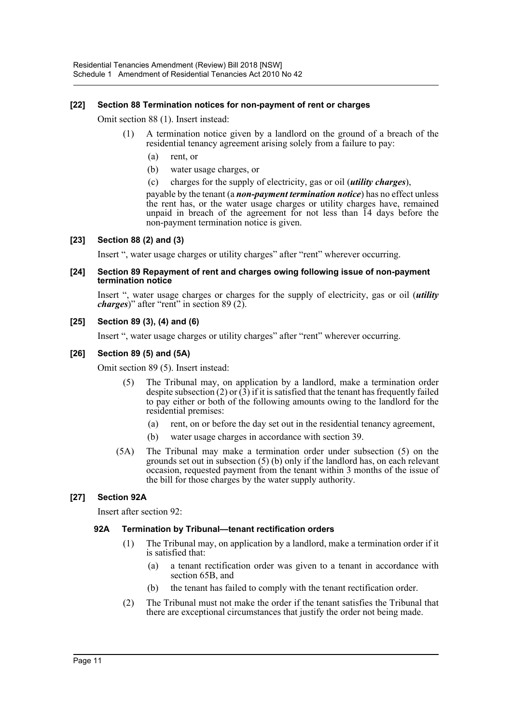#### **[22] Section 88 Termination notices for non-payment of rent or charges**

Omit section 88 (1). Insert instead:

- (1) A termination notice given by a landlord on the ground of a breach of the residential tenancy agreement arising solely from a failure to pay:
	- (a) rent, or
	- (b) water usage charges, or
	- (c) charges for the supply of electricity, gas or oil (*utility charges*),

payable by the tenant (a *non-payment termination notice*) has no effect unless the rent has, or the water usage charges or utility charges have, remained unpaid in breach of the agreement for not less than 14 days before the non-payment termination notice is given.

#### **[23] Section 88 (2) and (3)**

Insert ", water usage charges or utility charges" after "rent" wherever occurring.

#### **[24] Section 89 Repayment of rent and charges owing following issue of non-payment termination notice**

Insert ", water usage charges or charges for the supply of electricity, gas or oil (*utility charges*)" after "rent" in section 89 (2).

#### **[25] Section 89 (3), (4) and (6)**

Insert ", water usage charges or utility charges" after "rent" wherever occurring.

#### **[26] Section 89 (5) and (5A)**

Omit section 89 (5). Insert instead:

- (5) The Tribunal may, on application by a landlord, make a termination order despite subsection (2) or  $(3)$  if it is satisfied that the tenant has frequently failed to pay either or both of the following amounts owing to the landlord for the residential premises:
	- (a) rent, on or before the day set out in the residential tenancy agreement,
	- (b) water usage charges in accordance with section 39.
- (5A) The Tribunal may make a termination order under subsection (5) on the grounds set out in subsection (5) (b) only if the landlord has, on each relevant occasion, requested payment from the tenant within 3 months of the issue of the bill for those charges by the water supply authority.

#### **[27] Section 92A**

Insert after section 92:

#### **92A Termination by Tribunal—tenant rectification orders**

- (1) The Tribunal may, on application by a landlord, make a termination order if it is satisfied that:
	- (a) a tenant rectification order was given to a tenant in accordance with section 65B, and
	- (b) the tenant has failed to comply with the tenant rectification order.
- (2) The Tribunal must not make the order if the tenant satisfies the Tribunal that there are exceptional circumstances that justify the order not being made.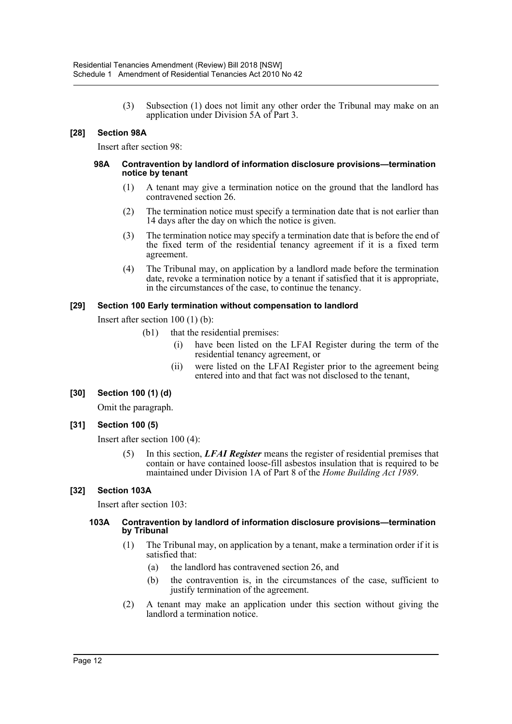(3) Subsection (1) does not limit any other order the Tribunal may make on an application under Division 5A of Part 3.

## **[28] Section 98A**

Insert after section 98:

#### **98A Contravention by landlord of information disclosure provisions—termination notice by tenant**

- (1) A tenant may give a termination notice on the ground that the landlord has contravened section 26.
- (2) The termination notice must specify a termination date that is not earlier than 14 days after the day on which the notice is given.
- (3) The termination notice may specify a termination date that is before the end of the fixed term of the residential tenancy agreement if it is a fixed term agreement.
- (4) The Tribunal may, on application by a landlord made before the termination date, revoke a termination notice by a tenant if satisfied that it is appropriate, in the circumstances of the case, to continue the tenancy.

#### **[29] Section 100 Early termination without compensation to landlord**

Insert after section 100 (1) (b):

- (b1) that the residential premises:
	- (i) have been listed on the LFAI Register during the term of the residential tenancy agreement, or
	- (ii) were listed on the LFAI Register prior to the agreement being entered into and that fact was not disclosed to the tenant,

#### **[30] Section 100 (1) (d)**

Omit the paragraph.

#### **[31] Section 100 (5)**

Insert after section 100 (4):

(5) In this section, *LFAI Register* means the register of residential premises that contain or have contained loose-fill asbestos insulation that is required to be maintained under Division 1A of Part 8 of the *Home Building Act 1989*.

#### **[32] Section 103A**

Insert after section 103:

#### **103A Contravention by landlord of information disclosure provisions—termination by Tribunal**

- (1) The Tribunal may, on application by a tenant, make a termination order if it is satisfied that:
	- (a) the landlord has contravened section 26, and
	- (b) the contravention is, in the circumstances of the case, sufficient to justify termination of the agreement.
- (2) A tenant may make an application under this section without giving the landlord a termination notice.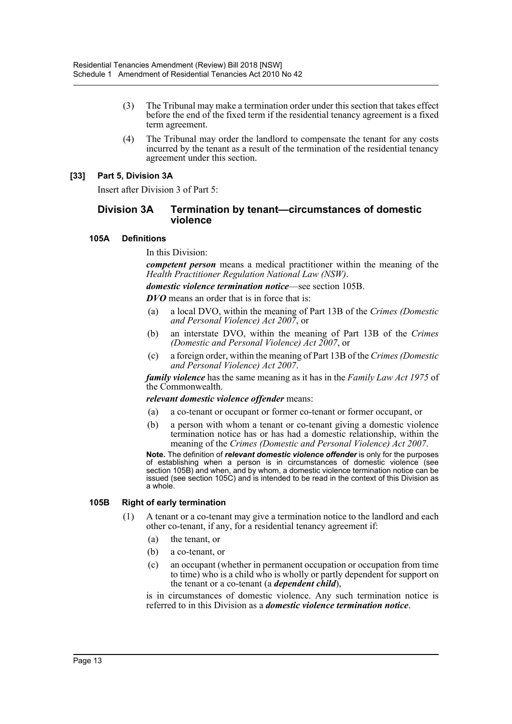- (3) The Tribunal may make a termination order under this section that takes effect before the end of the fixed term if the residential tenancy agreement is a fixed term agreement.
- (4) The Tribunal may order the landlord to compensate the tenant for any costs incurred by the tenant as a result of the termination of the residential tenancy agreement under this section.

#### **[33] Part 5, Division 3A**

Insert after Division 3 of Part 5:

#### **Division 3A Termination by tenant—circumstances of domestic violence**

#### **105A Definitions**

In this Division:

*competent person* means a medical practitioner within the meaning of the *Health Practitioner Regulation National Law (NSW)*.

*domestic violence termination notice*—see section 105B.

*DVO* means an order that is in force that is:

- (a) a local DVO, within the meaning of Part 13B of the *Crimes (Domestic and Personal Violence) Act 2007*, or
- (b) an interstate DVO, within the meaning of Part 13B of the *Crimes (Domestic and Personal Violence) Act 2007*, or
- (c) a foreign order, within the meaning of Part 13B of the *Crimes (Domestic and Personal Violence) Act 2007*.

*family violence* has the same meaning as it has in the *Family Law Act 1975* of the Commonwealth.

#### *relevant domestic violence offender* means:

- (a) a co-tenant or occupant or former co-tenant or former occupant, or
- (b) a person with whom a tenant or co-tenant giving a domestic violence termination notice has or has had a domestic relationship, within the meaning of the *Crimes (Domestic and Personal Violence) Act 2007*.

**Note.** The definition of *relevant domestic violence offender* is only for the purposes of establishing when a person is in circumstances of domestic violence (see section 105B) and when, and by whom, a domestic violence termination notice can be issued (see section 105C) and is intended to be read in the context of this Division as a whole.

#### **105B Right of early termination**

- (1) A tenant or a co-tenant may give a termination notice to the landlord and each other co-tenant, if any, for a residential tenancy agreement if:
	- (a) the tenant, or
	- (b) a co-tenant, or
	- (c) an occupant (whether in permanent occupation or occupation from time to time) who is a child who is wholly or partly dependent for support on the tenant or a co-tenant (a *dependent child*),

is in circumstances of domestic violence. Any such termination notice is referred to in this Division as a *domestic violence termination notice*.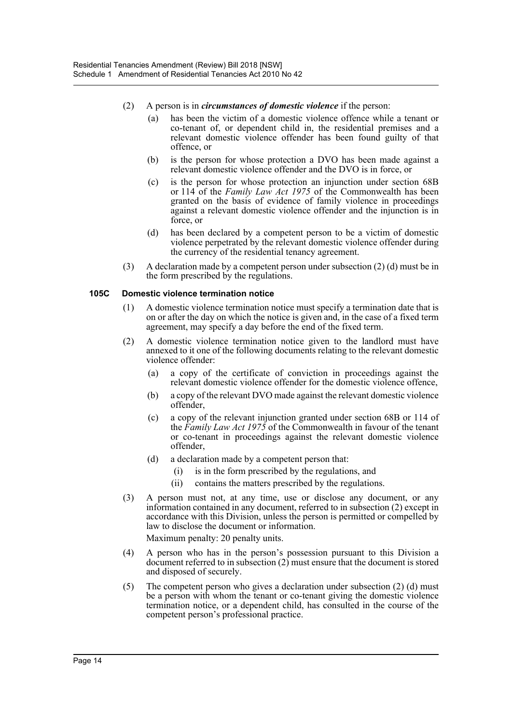- (2) A person is in *circumstances of domestic violence* if the person:
	- (a) has been the victim of a domestic violence offence while a tenant or co-tenant of, or dependent child in, the residential premises and a relevant domestic violence offender has been found guilty of that offence, or
	- (b) is the person for whose protection a DVO has been made against a relevant domestic violence offender and the DVO is in force, or
	- (c) is the person for whose protection an injunction under section 68B or 114 of the *Family Law Act 1975* of the Commonwealth has been granted on the basis of evidence of family violence in proceedings against a relevant domestic violence offender and the injunction is in force, or
	- (d) has been declared by a competent person to be a victim of domestic violence perpetrated by the relevant domestic violence offender during the currency of the residential tenancy agreement.
- (3) A declaration made by a competent person under subsection (2) (d) must be in the form prescribed by the regulations.

#### **105C Domestic violence termination notice**

- (1) A domestic violence termination notice must specify a termination date that is on or after the day on which the notice is given and, in the case of a fixed term agreement, may specify a day before the end of the fixed term.
- (2) A domestic violence termination notice given to the landlord must have annexed to it one of the following documents relating to the relevant domestic violence offender:
	- (a) a copy of the certificate of conviction in proceedings against the relevant domestic violence offender for the domestic violence offence,
	- (b) a copy of the relevant DVO made against the relevant domestic violence offender,
	- (c) a copy of the relevant injunction granted under section 68B or 114 of the *Family Law Act 1975* of the Commonwealth in favour of the tenant or co-tenant in proceedings against the relevant domestic violence offender,
	- (d) a declaration made by a competent person that:
		- (i) is in the form prescribed by the regulations, and
		- (ii) contains the matters prescribed by the regulations.
- (3) A person must not, at any time, use or disclose any document, or any information contained in any document, referred to in subsection (2) except in accordance with this Division, unless the person is permitted or compelled by law to disclose the document or information.

Maximum penalty: 20 penalty units.

- (4) A person who has in the person's possession pursuant to this Division a document referred to in subsection  $(2)$  must ensure that the document is stored and disposed of securely.
- (5) The competent person who gives a declaration under subsection (2) (d) must be a person with whom the tenant or co-tenant giving the domestic violence termination notice, or a dependent child, has consulted in the course of the competent person's professional practice.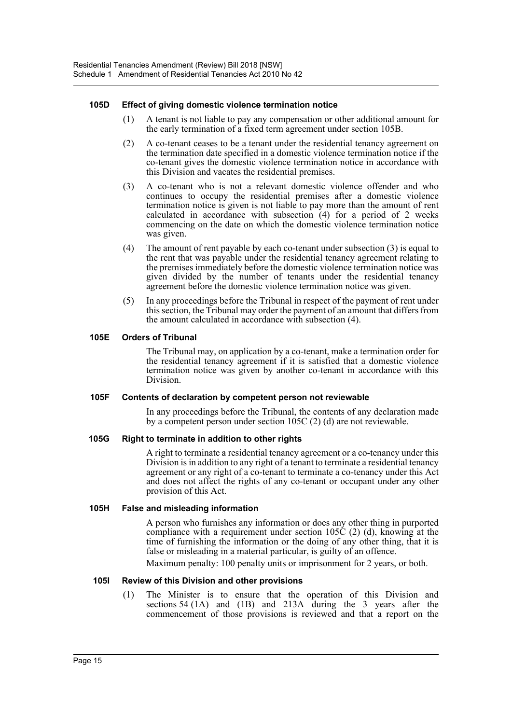#### **105D Effect of giving domestic violence termination notice**

- (1) A tenant is not liable to pay any compensation or other additional amount for the early termination of a fixed term agreement under section 105B.
- (2) A co-tenant ceases to be a tenant under the residential tenancy agreement on the termination date specified in a domestic violence termination notice if the co-tenant gives the domestic violence termination notice in accordance with this Division and vacates the residential premises.
- (3) A co-tenant who is not a relevant domestic violence offender and who continues to occupy the residential premises after a domestic violence termination notice is given is not liable to pay more than the amount of rent calculated in accordance with subsection (4) for a period of 2 weeks commencing on the date on which the domestic violence termination notice was given.
- (4) The amount of rent payable by each co-tenant under subsection (3) is equal to the rent that was payable under the residential tenancy agreement relating to the premises immediately before the domestic violence termination notice was given divided by the number of tenants under the residential tenancy agreement before the domestic violence termination notice was given.
- (5) In any proceedings before the Tribunal in respect of the payment of rent under this section, the Tribunal may order the payment of an amount that differs from the amount calculated in accordance with subsection (4).

#### **105E Orders of Tribunal**

The Tribunal may, on application by a co-tenant, make a termination order for the residential tenancy agreement if it is satisfied that a domestic violence termination notice was given by another co-tenant in accordance with this Division.

#### **105F Contents of declaration by competent person not reviewable**

In any proceedings before the Tribunal, the contents of any declaration made by a competent person under section 105C (2) (d) are not reviewable.

#### **105G Right to terminate in addition to other rights**

A right to terminate a residential tenancy agreement or a co-tenancy under this Division is in addition to any right of a tenant to terminate a residential tenancy agreement or any right of a co-tenant to terminate a co-tenancy under this Act and does not affect the rights of any co-tenant or occupant under any other provision of this Act.

#### **105H False and misleading information**

A person who furnishes any information or does any other thing in purported compliance with a requirement under section 105C  $(2)$  (d), knowing at the time of furnishing the information or the doing of any other thing, that it is false or misleading in a material particular, is guilty of an offence.

Maximum penalty: 100 penalty units or imprisonment for 2 years, or both.

#### **105I Review of this Division and other provisions**

(1) The Minister is to ensure that the operation of this Division and sections 54 (1A) and (1B) and 213A during the 3 years after the commencement of those provisions is reviewed and that a report on the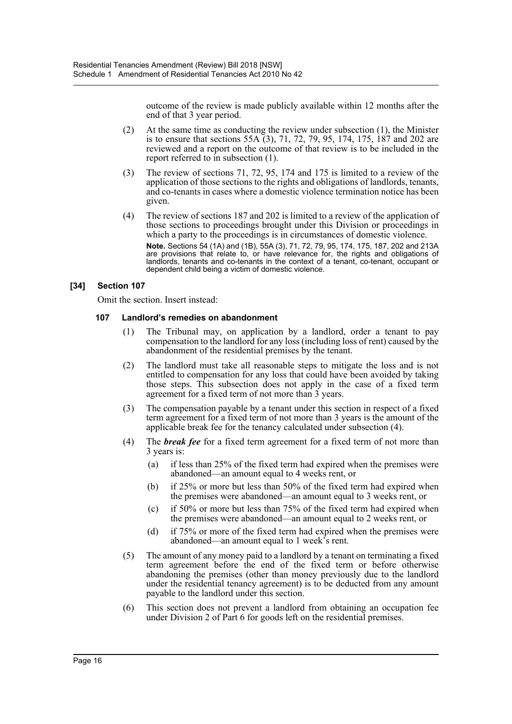outcome of the review is made publicly available within 12 months after the end of that 3 year period.

- (2) At the same time as conducting the review under subsection (1), the Minister is to ensure that sections 55A  $(3)$ , 71, 72, 79, 95, 174, 175,  $\frac{187}{187}$  and 202 are reviewed and a report on the outcome of that review is to be included in the report referred to in subsection (1).
- (3) The review of sections 71, 72, 95, 174 and 175 is limited to a review of the application of those sections to the rights and obligations of landlords, tenants, and co-tenants in cases where a domestic violence termination notice has been given.
- (4) The review of sections 187 and 202 is limited to a review of the application of those sections to proceedings brought under this Division or proceedings in which a party to the proceedings is in circumstances of domestic violence. **Note.** Sections 54 (1A) and (1B), 55A (3), 71, 72, 79, 95, 174, 175, 187, 202 and 213A are provisions that relate to, or have relevance for, the rights and obligations of landlords, tenants and co-tenants in the context of a tenant, co-tenant, occupant or dependent child being a victim of domestic violence.

#### **[34] Section 107**

Omit the section. Insert instead:

#### **107 Landlord's remedies on abandonment**

- (1) The Tribunal may, on application by a landlord, order a tenant to pay compensation to the landlord for any loss (including loss of rent) caused by the abandonment of the residential premises by the tenant.
- (2) The landlord must take all reasonable steps to mitigate the loss and is not entitled to compensation for any loss that could have been avoided by taking those steps. This subsection does not apply in the case of a fixed term agreement for a fixed term of not more than 3 years.
- (3) The compensation payable by a tenant under this section in respect of a fixed term agreement for a fixed term of not more than 3 years is the amount of the applicable break fee for the tenancy calculated under subsection (4).
- (4) The *break fee* for a fixed term agreement for a fixed term of not more than 3 years is:
	- (a) if less than 25% of the fixed term had expired when the premises were abandoned—an amount equal to 4 weeks rent, or
	- (b) if 25% or more but less than 50% of the fixed term had expired when the premises were abandoned—an amount equal to 3 weeks rent, or
	- (c) if 50% or more but less than 75% of the fixed term had expired when the premises were abandoned—an amount equal to 2 weeks rent, or
	- (d) if 75% or more of the fixed term had expired when the premises were abandoned—an amount equal to 1 week's rent.
- (5) The amount of any money paid to a landlord by a tenant on terminating a fixed term agreement before the end of the fixed term or before otherwise abandoning the premises (other than money previously due to the landlord under the residential tenancy agreement) is to be deducted from any amount payable to the landlord under this section.
- (6) This section does not prevent a landlord from obtaining an occupation fee under Division 2 of Part 6 for goods left on the residential premises.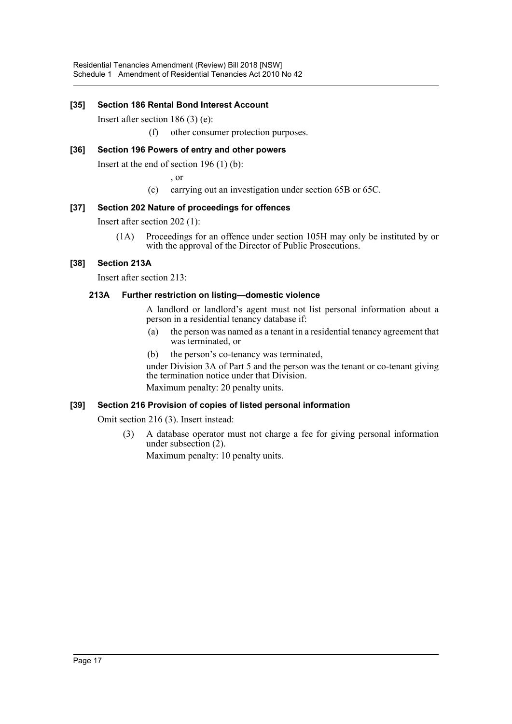## **[35] Section 186 Rental Bond Interest Account**

Insert after section 186 (3) (e):

(f) other consumer protection purposes.

## **[36] Section 196 Powers of entry and other powers**

Insert at the end of section 196 (1) (b):

, or

(c) carrying out an investigation under section 65B or 65C.

#### **[37] Section 202 Nature of proceedings for offences**

Insert after section 202 (1):

(1A) Proceedings for an offence under section 105H may only be instituted by or with the approval of the Director of Public Prosecutions.

## **[38] Section 213A**

Insert after section 213:

#### **213A Further restriction on listing—domestic violence**

A landlord or landlord's agent must not list personal information about a person in a residential tenancy database if:

- (a) the person was named as a tenant in a residential tenancy agreement that was terminated, or
- (b) the person's co-tenancy was terminated,

under Division 3A of Part 5 and the person was the tenant or co-tenant giving the termination notice under that Division. Maximum penalty: 20 penalty units.

#### **[39] Section 216 Provision of copies of listed personal information**

Omit section 216 (3). Insert instead:

(3) A database operator must not charge a fee for giving personal information under subsection (2).

Maximum penalty: 10 penalty units.